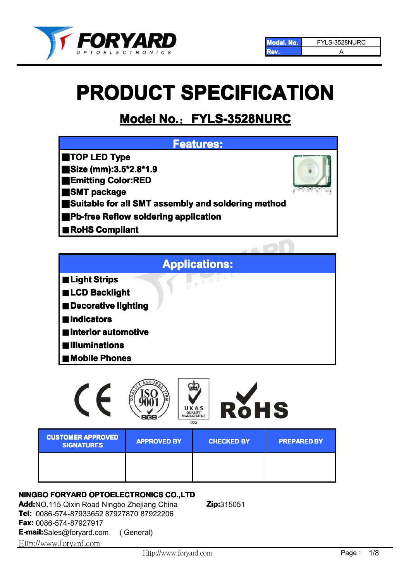

# **PRODUCT SPECIFICATION**

# **Model No.**:**FYLS-3528NURC 3528NURC3528NURC**



- ■**Decorative lighting**
- ■**Indicators Indicators**
- ■**Interior Interior Interiorautomotive automotive automotive**
- ■**Illuminations Illuminations Illuminations**
- ■**Mobile Phones**

|                                               | c<br>QUALITY<br>MANAGEMENT | RòHS<br>UKAS<br>005 |                    |
|-----------------------------------------------|----------------------------|---------------------|--------------------|
| <b>CUSTOMER APPROVED</b><br><b>SIGNATURES</b> | <b>APPROVED BY</b>         | <b>CHECKED BY</b>   | <b>PREPARED BY</b> |
|                                               |                            |                     |                    |

# **NINGBO FORYARD OPTOELECTRONICS CO.,LTD**

**Add:**NO.115 Qixin Road Ningbo Zhejiang China **Zip:**315051 **Tel:** 0086-574-87933652 87927870 87922206 **Fax:** 0086-574-87927917 **E-mail:**Sales@foryard.com ( General) [Http://](http://www.foryard.com/)www.foryard.com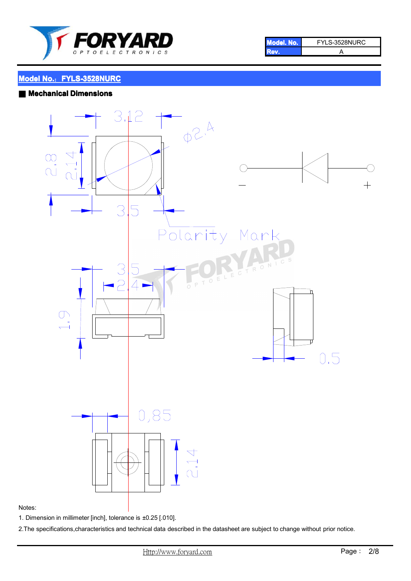

| <b>I Model, No.</b> | FYLS-3528NURC |
|---------------------|---------------|
| <b>TEAM</b>         |               |

#### ■ **Mechanical Mechanical Dimensions**



#### Notes:

1. Dimension in millimeter [inch], tolerance is ±0.25 [.010].

2.The specifications,characteristics and technical data described in the datasheet are subject to change without prior notice.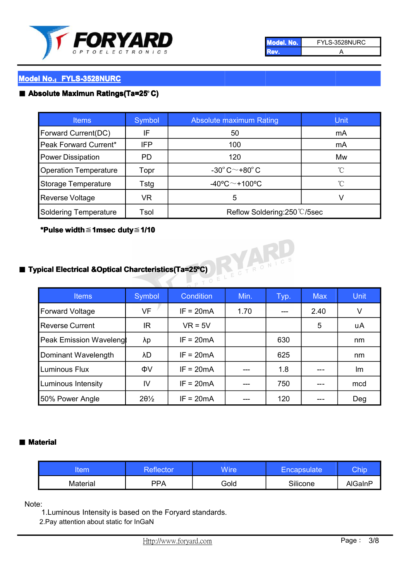

| Model, No. | FYLS-3528NURC |
|------------|---------------|
|            |               |

#### ■ **Absolute Maximun Ratings(Ta=25°C)**

| <b>Items</b>                 | Symbol     | Absolute maximum Rating                 | Unit,             |
|------------------------------|------------|-----------------------------------------|-------------------|
| Forward Current(DC)          | IF         | 50                                      | mA                |
| Peak Forward Current*        | <b>IFP</b> | 100                                     | mA                |
| <b>Power Dissipation</b>     | PD.        | 120                                     | Mw                |
| <b>Operation Temperature</b> | Topr       | $-30^{\circ}$ C $\sim$ +80 $^{\circ}$ C | °C                |
| Storage Temperature          | Tstg       | $-40^{\circ}$ C $\sim$ +100°C           | $^{\circ}$ $\cap$ |
| <b>Reverse Voltage</b>       | VR.        | 5                                       | V                 |
| <b>Soldering Temperature</b> | Tsol       | Reflow Soldering:250 °C/5sec            |                   |

# **\*Pulse width**≦**1msec duty**≦**1/10**



# ■ **Typical Electrical &Optical Charcteristics(Ta=25°C)**

| <b>Items</b>                   | Symbol          | <b>Condition</b> | Min. | Typ. | <b>Max</b> | <b>Unit</b> |
|--------------------------------|-----------------|------------------|------|------|------------|-------------|
| <b>Forward Voltage</b>         | <b>VF</b>       | $IF = 20mA$      | 1.70 | ---  | 2.40       | V           |
| <b>Reverse Current</b>         | IR              | $VR = 5V$        |      |      | 5          | uA          |
| <b>Peak Emission Wavelengl</b> | λp              | $IF = 20mA$      |      | 630  |            | nm          |
| Dominant Wavelength            | λD              | $IF = 20mA$      |      | 625  |            | nm          |
| Luminous Flux                  | ΦV              | $IF = 20mA$      |      | 1.8  |            | Im          |
| Luminous Intensity             | IV              | $IF = 20mA$      | ---  | 750  |            | mcd         |
| 50% Power Angle                | $20\frac{1}{2}$ | $IF = 20mA$      |      | 120  |            | Deg         |

#### ■ **Material Material**

| tem      | Reflector <sup>1</sup> | <b>Wire</b> | <b>Encapsulate</b> | Chip    |
|----------|------------------------|-------------|--------------------|---------|
| Material | PPA                    | Gold        | Silicone           | AlGaInP |

Note:

1.Luminous Intensity is based on the Foryard standards.

2.Pay attention about static for InGaN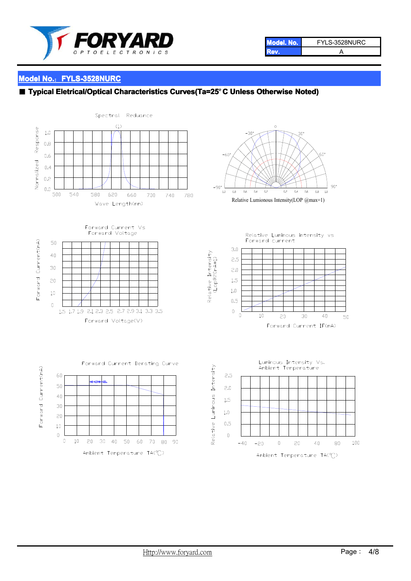

| Model. No. | FYLS-3528NURC |
|------------|---------------|
|            |               |

#### **Model No.: FYLS-3528NURC**

#### ■ **Typical Eletrical/Optical Characteristics Curves(Ta=25°C Unless Otherwise Noted)**

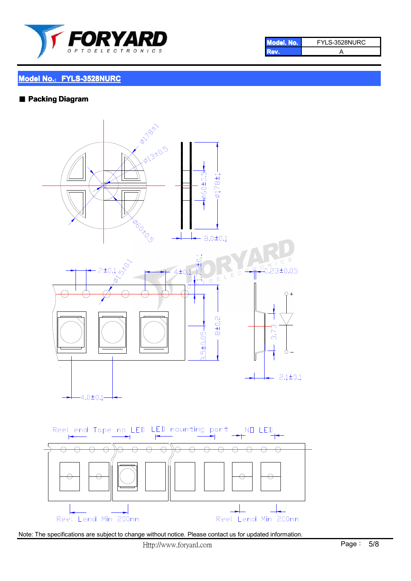

| <b>I Model, No.</b> | FYLS-3528NURC |
|---------------------|---------------|
|                     |               |

#### ■ **Packing Diagram Diagram**



Note: The specifications are subject to change without notice. Please contact us for updated information.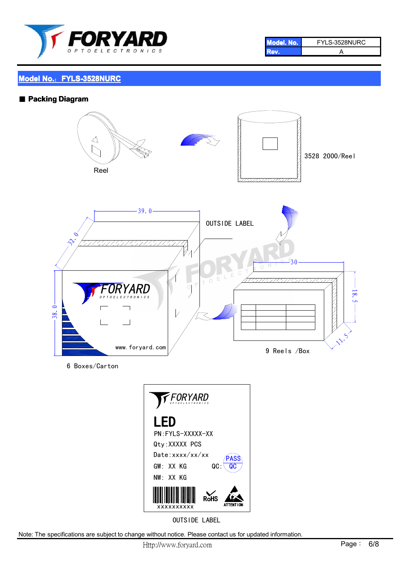

| Model, No. 2 | FYLS-3528NURC |
|--------------|---------------|
|              |               |

#### ■ **Packing Diagram Diagram**



6 Boxes/Carton



OUTSIDE LABEL

Note: The specifications are subject to change without notice. Please contact us for updated information.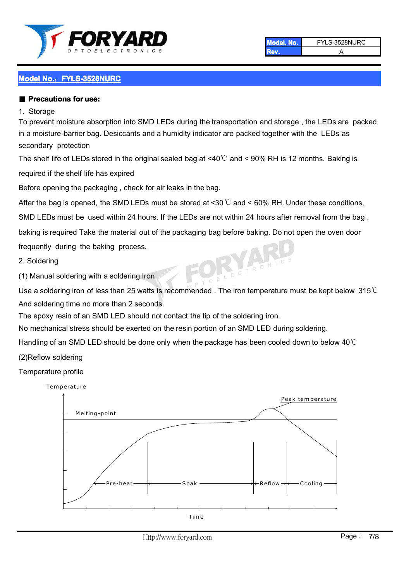

**Model. No.** FYLS-3528NURC **Rev.** A

## **Model No.: FYLS-3528NURC**

#### ■ **Precautions** for use:

#### 1. Storage

To prevent moisture absorption into SMD LEDs during the transportation and storage , the LEDs are packed in a moisture-barrier bag. Desiccants and a humidity indicator are packed together with the LEDs as secondary protection

The shelf life of LEDs stored in the original sealed bag at <40℃ and <sup>&</sup>lt; 90% RH is 12 months. Baking is

required if the shelf life has expired

Before opening the packaging , check for air leaks in the bag.

After the bag is opened, the SMD LEDs must be stored at <30  $\degree$  and < 60% RH. Under these conditions,

SMD LEDs must be used within 24 hours. If the LEDs are not within 24 hours after removal from the bag ,

baking is required Take the material out of the packaging bag before baking. Do not open the oven door

frequently during the baking process.

2. Soldering

(1) Manual soldering with <sup>a</sup> soldering Iron

Use a soldering iron of less than 25 watts is recommended. The iron temperature must be kept below 315℃ And soldering time no more than 2 seconds.

The epoxy resin of an SMD LED should not contact the tip of the soldering iron.

No mechanical stress should be exerted on the resin portion of an SMD LED during soldering.

Handling of an SMD LED should be done only when the package has been cooled down to below 40℃

(2)Reflow soldering

#### Temperature profile